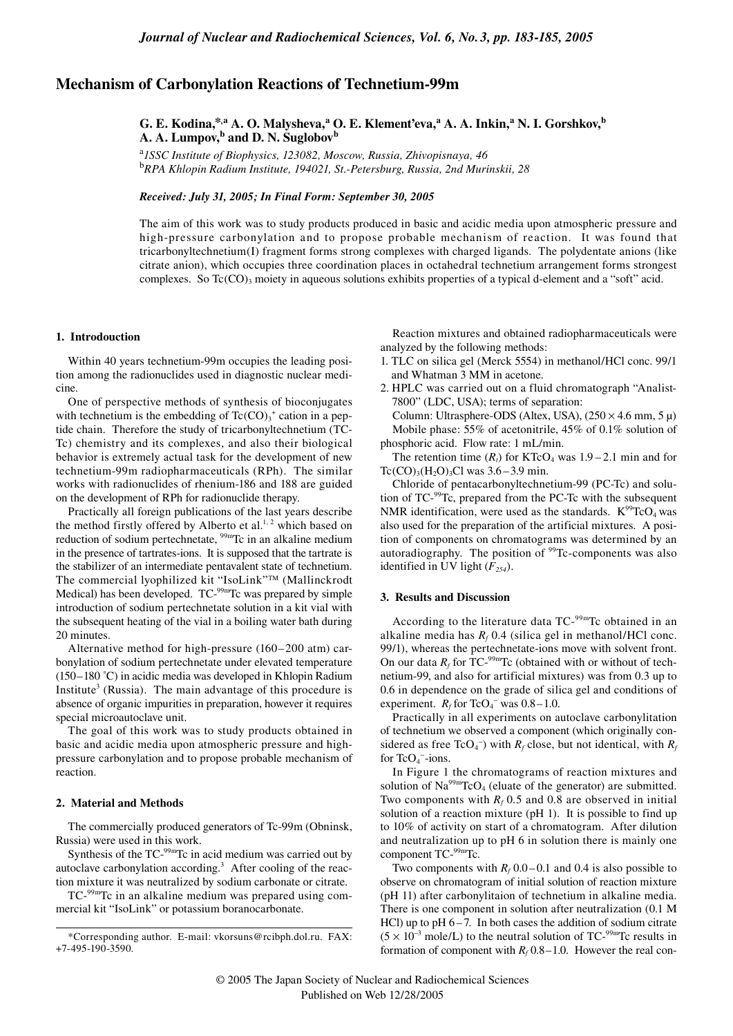# **Mechanism of Carbonylation Reactions of Technetium-99m**

# **G. E. Kodina,\*,a A. O. Malysheva,<sup>a</sup> O. E. Klement'eva,<sup>a</sup> A. A. Inkin,<sup>a</sup> N. I. Gorshkov,<sup>b</sup> A. A. Lumpov,b and D. N. Suglobovb**

<sup>a</sup>*1SSC Institute of Biophysics, 123082, Moscow, Russia, Zhivopisnaya, 46* <sup>b</sup>*RPA Khlopin Radium Institute, 194021, St.-Petersburg, Russia, 2nd Murinskii, 28*

## *Received: July 31, 2005; In Final Form: September 30, 2005*

The aim of this work was to study products produced in basic and acidic media upon atmospheric pressure and high-pressure carbonylation and to propose probable mechanism of reaction. It was found that tricarbonyltechnetium(I) fragment forms strong complexes with charged ligands. The polydentate anions (like citrate anion), which occupies three coordination places in octahedral technetium arrangement forms strongest complexes. So  $Tc(CO)$ <sub>3</sub> moiety in aqueous solutions exhibits properties of a typical d-element and a "soft" acid.

#### **1. Introdouction**

Within 40 years technetium-99m occupies the leading position among the radionuclides used in diagnostic nuclear medicine.

One of perspective methods of synthesis of bioconjugates with technetium is the embedding of  $Tc(CO)<sub>3</sub><sup>+</sup>$  cation in a peptide chain. Therefore the study of tricarbonyltechnetium (TC-Tc) chemistry and its complexes, and also their biological behavior is extremely actual task for the development of new technetium-99m radiopharmaceuticals (RPh). The similar works with radionuclides of rhenium-186 and 188 are guided on the development of RPh for radionuclide therapy.

Practically all foreign publications of the last years describe the method firstly offered by Alberto et al.<sup>1, 2</sup> which based on reduction of sodium pertechnetate, <sup>99m</sup>Tc in an alkaline medium in the presence of tartrates-ions. It is supposed that the tartrate is the stabilizer of an intermediate pentavalent state of technetium. The commercial lyophilized kit "IsoLink"™ (Mallinckrodt Medical) has been developed. TC-<sup>99m</sup>Tc was prepared by simple introduction of sodium pertechnetate solution in a kit vial with the subsequent heating of the vial in a boiling water bath during 20 minutes.

Alternative method for high-pressure (160–200 atm) carbonylation of sodium pertechnetate under elevated temperature (150–180 ˚C) in acidic media was developed in Khlopin Radium Institute<sup>3</sup> (Russia). The main advantage of this procedure is absence of organic impurities in preparation, however it requires special microautoclave unit.

The goal of this work was to study products obtained in basic and acidic media upon atmospheric pressure and highpressure carbonylation and to propose probable mechanism of reaction.

#### **2. Material and Methods**

The commercially produced generators of Tc-99m (Obninsk, Russia) were used in this work.

Synthesis of the TC-99mTc in acid medium was carried out by autoclave carbonylation according.<sup>3</sup> After cooling of the reaction mixture it was neutralized by sodium carbonate or citrate.

TC-99mTc in an alkaline medium was prepared using commercial kit "IsoLink" or potassium boranocarbonate.

Reaction mixtures and obtained radiopharmaceuticals were analyzed by the following methods:

- 1. TLC on silica gel (Merck 5554) in methanol/HCl conc. 99/1 and Whatman 3 MM in acetone.
- 2. HPLC was carried out on a fluid chromatograph "Analist-7800" (LDC, USA); terms of separation: Column: Ultrasphere-ODS (Altex, USA),  $(250 \times 4.6 \text{ mm}, 5 \mu)$ Mobile phase: 55% of acetonitrile, 45% of 0.1% solution of

phosphoric acid. Flow rate: 1 mL/min. The retention time  $(R_t)$  for KTcO<sub>4</sub> was  $1.9 - 2.1$  min and for Tc(CO)<sub>3</sub>(H<sub>2</sub>O)<sub>3</sub>Cl was  $3.6 - 3.9$  min.

Chloride of pentacarbonyltechnetium-99 (PC-Tc) and solution of TC-99Tc, prepared from the PC-Tc with the subsequent NMR identification, were used as the standards.  $K^{99}TcO_4$  was also used for the preparation of the artificial mixtures. A position of components on chromatograms was determined by an autoradiography. The position of <sup>99</sup>Tc-components was also identified in UV light  $(F_{254})$ .

## **3. Results and Discussion**

According to the literature data TC-<sup>99m</sup>Tc obtained in an alkaline media has  $R_f$  0.4 (silica gel in methanol/HCl conc. 99/1), whereas the pertechnetate-ions move with solvent front. On our data  $R_f$  for TC-<sup>99m</sup>Tc (obtained with or without of technetium-99, and also for artificial mixtures) was from 0.3 up to 0.6 in dependence on the grade of silica gel and conditions of experiment.  $R_f$  for TcO<sub>4</sub><sup>-</sup> was 0.8–1.0.

Practically in all experiments on autoclave carbonylitation of technetium we observed a component (which originally considered as free  $\text{TeO}_4^-$ ) with  $R_f$  close, but not identical, with  $R_f$ for  $TcO<sub>4</sub>$  -ions.

In Figure 1 the chromatograms of reaction mixtures and solution of  $\text{Na}^{99m}\text{TeO}_4$  (eluate of the generator) are submitted. Two components with  $R_f$  0.5 and 0.8 are observed in initial solution of a reaction mixture (pH 1). It is possible to find up to 10% of activity on start of a chromatogram. After dilution and neutralization up to pH 6 in solution there is mainly one component TC-99mTc.

Two components with  $R_f$  0.0–0.1 and 0.4 is also possible to observe on chromatogram of initial solution of reaction mixture (pH 11) after carbonylitaion of technetium in alkaline media. There is one component in solution after neutralization (0.1 M HCl) up to  $pH 6-7$ . In both cases the addition of sodium citrate  $(5 \times 10^{-3} \text{ mole/L})$  to the neutral solution of TC-<sup>99m</sup>Tc results in formation of component with  $R_f$  0.8–1.0. However the real con-

<sup>\*</sup>Corresponding author. E-mail: vkorsuns@rcibph.dol.ru. FAX: +7-495-190-3590.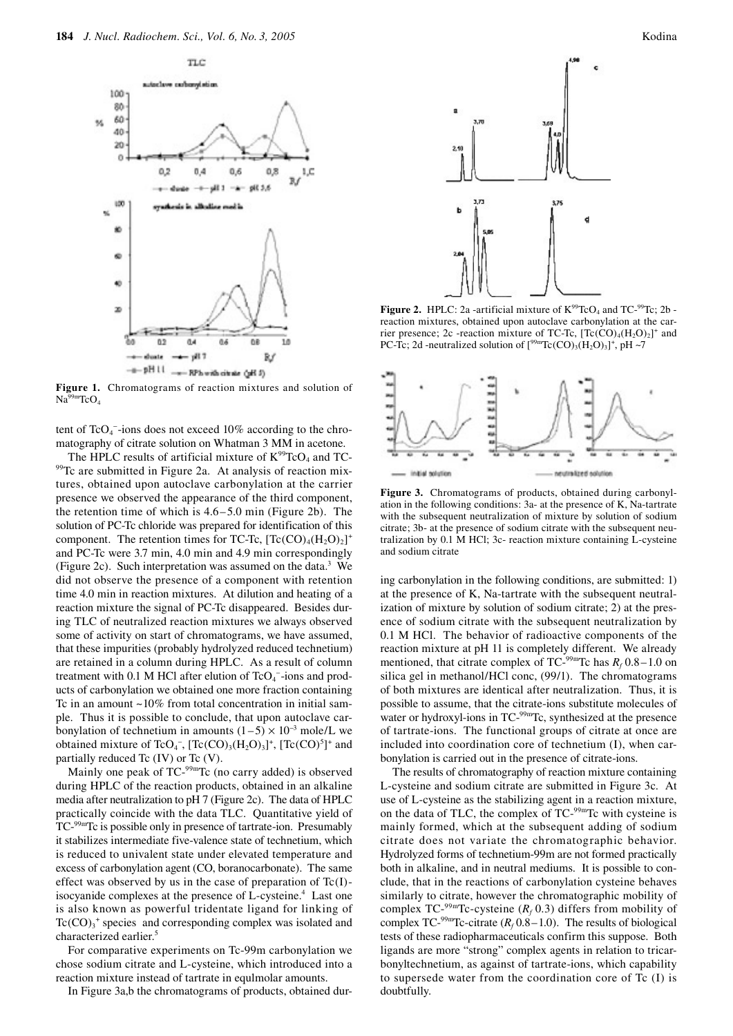

**Figure 1.** Chromatograms of reaction mixtures and solution of  $Na<sup>99m</sup>TeO<sub>4</sub>$ 

tent of  $TcO<sub>4</sub>$  -ions does not exceed 10% according to the chromatography of citrate solution on Whatman 3 MM in acetone.

The HPLC results of artificial mixture of  $K^{99}TcO_4$  and TC-<sup>99</sup>Tc are submitted in Figure 2a. At analysis of reaction mixtures, obtained upon autoclave carbonylation at the carrier presence we observed the appearance of the third component, the retention time of which is  $4.6 - 5.0$  min (Figure 2b). The solution of PC-Tc chloride was prepared for identification of this component. The retention times for TC-Tc,  $[Te(CO)_4(H_2O)_2]^+$ and PC-Tc were 3.7 min, 4.0 min and 4.9 min correspondingly (Figure 2c). Such interpretation was assumed on the data. $3$  We did not observe the presence of a component with retention time 4.0 min in reaction mixtures. At dilution and heating of a reaction mixture the signal of PC-Tc disappeared. Besides during TLC of neutralized reaction mixtures we always observed some of activity on start of chromatograms, we have assumed, that these impurities (probably hydrolyzed reduced technetium) are retained in a column during HPLC. As a result of column treatment with 0.1 M HCl after elution of  $TcO<sub>4</sub>$  -ions and products of carbonylation we obtained one more fraction containing Tc in an amount ~10% from total concentration in initial sample. Thus it is possible to conclude, that upon autoclave carbonylation of technetium in amounts  $(1-5) \times 10^{-3}$  mole/L we obtained mixture of TcO<sub>4</sub><sup>-</sup>, [Tc(CO)<sub>3</sub>(H<sub>2</sub>O)<sub>3</sub>]<sup>+</sup>, [Tc(CO)<sup>5</sup>]<sup>+</sup> and partially reduced Tc (IV) or Tc (V).

Mainly one peak of TC-<sup>99m</sup>Tc (no carry added) is observed during HPLC of the reaction products, obtained in an alkaline media after neutralization to pH 7 (Figure 2c). The data of HPLC practically coincide with the data TLC. Quantitative yield of TC-99mTc is possible only in presence of tartrate-ion. Presumably it stabilizes intermediate five-valence state of technetium, which is reduced to univalent state under elevated temperature and excess of carbonylation agent (CO, boranocarbonate). The same effect was observed by us in the case of preparation of  $Tc(I)$ isocyanide complexes at the presence of L-cysteine.<sup>4</sup> Last one is also known as powerful tridentate ligand for linking of  $Tc(CO)<sub>3</sub>$ <sup>+</sup> species and corresponding complex was isolated and characterized earlier.5

For comparative experiments on Tc-99m carbonylation we chose sodium citrate and L-cysteine, which introduced into a reaction mixture instead of tartrate in equlmolar amounts.

In Figure 3a,b the chromatograms of products, obtained dur-



**Figure 2.** HPLC: 2a -artificial mixture of  $K^{99}TcO_4$  and  $TC^{99}Tc$ ; 2b reaction mixtures, obtained upon autoclave carbonylation at the carrier presence; 2c -reaction mixture of TC-Tc,  $[Te(CO)<sub>4</sub>(H<sub>2</sub>O)<sub>2</sub>]<sup>+</sup>$  and PC-Tc; 2d -neutralized solution of  $[{}^{99m}\text{Tc}(\text{CO})_3(\text{H}_2\text{O})_3]^+$ , pH ~7



**Figure 3.** Chromatograms of products, obtained during carbonylation in the following conditions: 3a- at the presence of K, Na-tartrate with the subsequent neutralization of mixture by solution of sodium citrate; 3b- at the presence of sodium citrate with the subsequent neutralization by 0.1 M HCl; 3c- reaction mixture containing L-cysteine and sodium citrate

ing carbonylation in the following conditions, are submitted: 1) at the presence of K, Na-tartrate with the subsequent neutralization of mixture by solution of sodium citrate; 2) at the presence of sodium citrate with the subsequent neutralization by 0.1 M HCl. The behavior of radioactive components of the reaction mixture at pH 11 is completely different. We already mentioned, that citrate complex of TC- $^{99m}$ Tc has  $R_f$  0.8–1.0 on silica gel in methanol/HCl conc, (99/1). The chromatograms of both mixtures are identical after neutralization. Thus, it is possible to assume, that the citrate-ions substitute molecules of water or hydroxyl-ions in TC-<sup>99m</sup>Tc, synthesized at the presence of tartrate-ions. The functional groups of citrate at once are included into coordination core of technetium (I), when carbonylation is carried out in the presence of citrate-ions.

The results of chromatography of reaction mixture containing L-cysteine and sodium citrate are submitted in Figure 3c. At use of L-cysteine as the stabilizing agent in a reaction mixture, on the data of TLC, the complex of TC-99mTc with cysteine is mainly formed, which at the subsequent adding of sodium citrate does not variate the chromatographic behavior. Hydrolyzed forms of technetium-99m are not formed practically both in alkaline, and in neutral mediums. It is possible to conclude, that in the reactions of carbonylation cysteine behaves similarly to citrate, however the chromatographic mobility of complex TC-<sup>99m</sup>Tc-cysteine ( $R_f$  0.3) differs from mobility of complex TC-<sup>99m</sup>Tc-citrate ( $R_f$  0.8–1.0). The results of biological tests of these radiopharmaceuticals confirm this suppose. Both ligands are more "strong" complex agents in relation to tricarbonyltechnetium, as against of tartrate-ions, which capability to supersede water from the coordination core of Tc (I) is doubtfully.